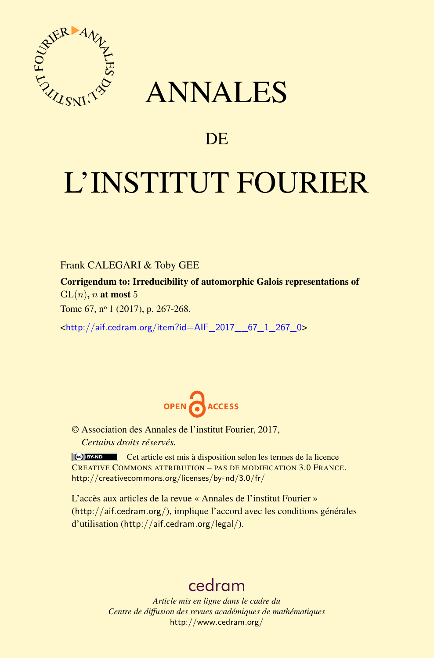

## ANNALES

## **DE**

# L'INSTITUT FOURIER

Frank CALEGARI & Toby GEE

Corrigendum to: Irreducibility of automorphic Galois representations of GL(*n*), *n* at most 5

Tome 67, nº 1 (2017), p. 267-268.

<[http://aif.cedram.org/item?id=AIF\\_2017\\_\\_67\\_1\\_267\\_0](http://aif.cedram.org/item?id=AIF_2017__67_1_267_0)>



© Association des Annales de l'institut Fourier, 2017, *Certains droits réservés.*

Cet article est mis à disposition selon les termes de la licence CREATIVE COMMONS ATTRIBUTION – PAS DE MODIFICATION 3.0 FRANCE. <http://creativecommons.org/licenses/by-nd/3.0/fr/>

L'accès aux articles de la revue « Annales de l'institut Fourier » (<http://aif.cedram.org/>), implique l'accord avec les conditions générales d'utilisation (<http://aif.cedram.org/legal/>).

## [cedram](http://www.cedram.org/)

*Article mis en ligne dans le cadre du Centre de diffusion des revues académiques de mathématiques* <http://www.cedram.org/>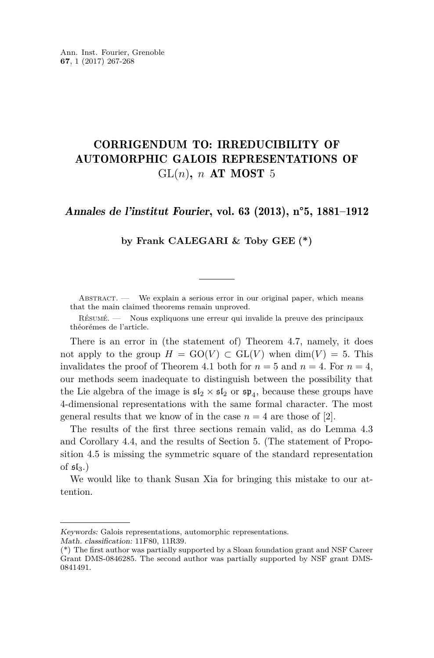### CORRIGENDUM TO: IRREDUCIBILITY OF AUTOMORPHIC GALOIS REPRESENTATIONS OF  $GL(n)$ , *n* AT MOST 5

#### Annales de l'institut Fourier, vol. 63 (2013), n°5, 1881–1912

**by Frank CALEGARI & Toby GEE (\*)**

ABSTRACT. — We explain a serious error in our original paper, which means that the main claimed theorems remain unproved.

Résumé. — Nous expliquons une erreur qui invalide la preuve des principaux théorémes de l'article.

There is an error in (the statement of) Theorem 4.7, namely, it does not apply to the group  $H = GO(V) \subset GL(V)$  when  $dim(V) = 5$ . This invalidates the proof of Theorem 4.1 both for  $n = 5$  and  $n = 4$ . For  $n = 4$ , our methods seem inadequate to distinguish between the possibility that the Lie algebra of the image is  $\mathfrak{sl}_2 \times \mathfrak{sl}_2$  or  $\mathfrak{sp}_4$ , because these groups have 4-dimensional representations with the same formal character. The most general results that we know of in the case  $n = 4$  are those of [\[2\]](#page-2-0).

The results of the first three sections remain valid, as do Lemma 4.3 and Corollary 4.4, and the results of Section 5. (The statement of Proposition 4.5 is missing the symmetric square of the standard representation of  $5I_3$ .

We would like to thank Susan Xia for bringing this mistake to our attention.

Keywords: Galois representations, automorphic representations.

Math. classification: 11F80, 11R39.

<sup>(\*)</sup> The first author was partially supported by a Sloan foundation grant and NSF Career Grant DMS-0846285. The second author was partially supported by NSF grant DMS-0841491.